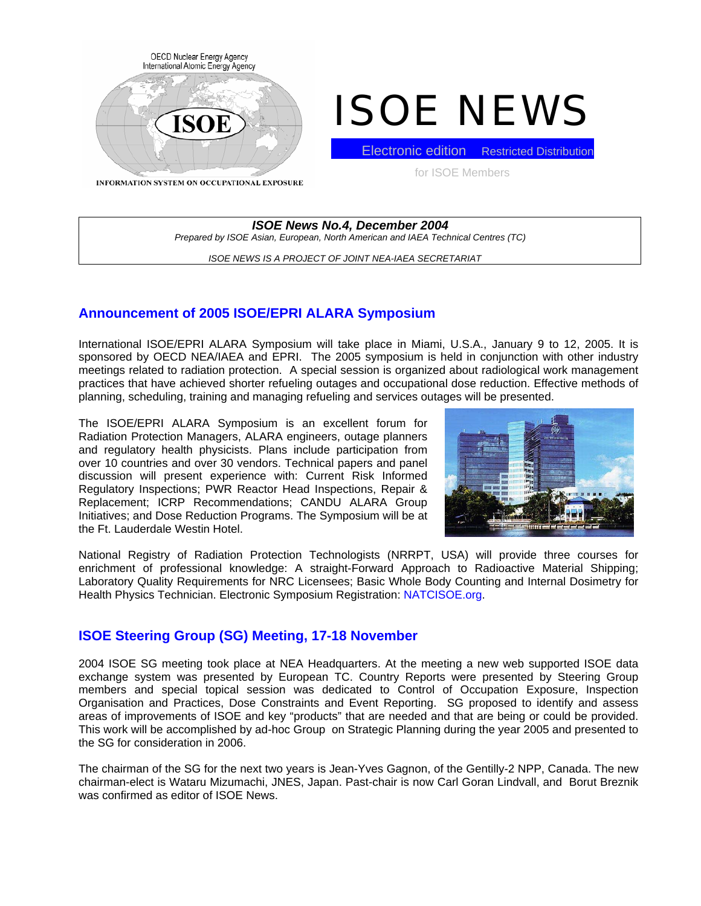

# ISOE NEWS

**INFORMATION SYSTEM ON OCCUPATIONAL EXPOSURE** 

**Electronic edition** Restricted Distribution

for ISOE Members

## *ISOE News No.4, December 2004 Prepared by ISOE Asian, European, North American and IAEA Technical Centres (TC)*

*ISOE NEWS IS A PROJECT OF JOINT NEA-IAEA SECRETARIAT* 

# **Announcement of 2005 ISOE/EPRI ALARA Symposium**

International ISOE/EPRI ALARA Symposium will take place in Miami, U.S.A., January 9 to 12, 2005. It is sponsored by OECD NEA/IAEA and EPRI. The 2005 symposium is held in conjunction with other industry meetings related to radiation protection. A special session is organized about radiological work management practices that have achieved shorter refueling outages and occupational dose reduction. Effective methods of planning, scheduling, training and managing refueling and services outages will be presented.

The ISOE/EPRI ALARA Symposium is an excellent forum for Radiation Protection Managers, ALARA engineers, outage planners and regulatory health physicists. Plans include participation from over 10 countries and over 30 vendors. Technical papers and panel discussion will present experience with: Current Risk Informed Regulatory Inspections; PWR Reactor Head Inspections, Repair & Replacement; ICRP Recommendations; CANDU ALARA Group Initiatives; and Dose Reduction Programs. The Symposium will be at the Ft. Lauderdale Westin Hotel.



National Registry of Radiation Protection Technologists (NRRPT, USA) will provide three courses for enrichment of professional knowledge: A straight-Forward Approach to Radioactive Material Shipping; Laboratory Quality Requirements for NRC Licensees; Basic Whole Body Counting and Internal Dosimetry for Health Physics Technician. Electronic Symposium Registration: NATCISOE.org.

# **ISOE Steering Group (SG) Meeting, 17-18 November**

2004 ISOE SG meeting took place at NEA Headquarters. At the meeting a new web supported ISOE data exchange system was presented by European TC. Country Reports were presented by Steering Group members and special topical session was dedicated to Control of Occupation Exposure, Inspection Organisation and Practices, Dose Constraints and Event Reporting. SG proposed to identify and assess areas of improvements of ISOE and key "products" that are needed and that are being or could be provided. This work will be accomplished by ad-hoc Group on Strategic Planning during the year 2005 and presented to the SG for consideration in 2006.

The chairman of the SG for the next two years is Jean-Yves Gagnon, of the Gentilly-2 NPP, Canada. The new chairman-elect is Wataru Mizumachi, JNES, Japan. Past-chair is now Carl Goran Lindvall, and Borut Breznik was confirmed as editor of ISOE News.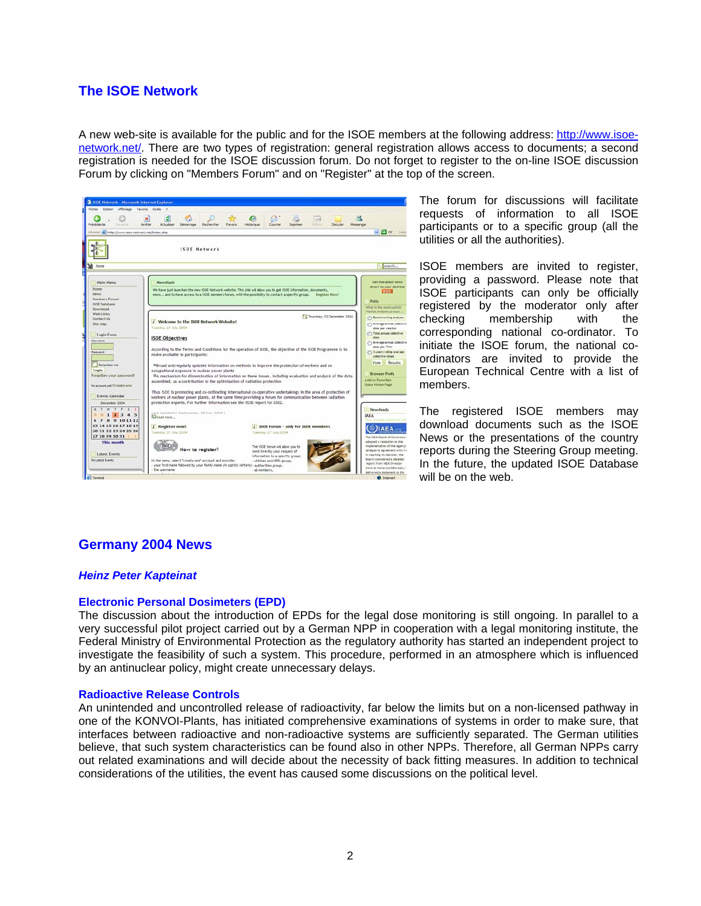# **The ISOE Network**

A new web-site is available for the public and for the ISOE members at the following address: [http://www.isoe](http://www.isoe-network.net/)[network.net/](http://www.isoe-network.net/). There are two types of registration: general registration allows access to documents; a second registration is needed for the ISOE discussion forum. Do not forget to register to the on-line ISOE discussion Forum by clicking on "Members Forum" and on "Register" at the top of the screen.

| Démarrage<br>Actualiser<br>Recherches<br>Favoris                                       | Courries<br>Imprimer                                                                                                                                                                                           | <b>STAR</b><br><b>Cultivan</b><br>Discuter                                                                                                                                                                                                                         | Messenger                                                                                                                                                                                                                                                                                                                                                                                                                                                                                                                                                                                                                                                                                                                                                                                                                                          |
|----------------------------------------------------------------------------------------|----------------------------------------------------------------------------------------------------------------------------------------------------------------------------------------------------------------|--------------------------------------------------------------------------------------------------------------------------------------------------------------------------------------------------------------------------------------------------------------------|----------------------------------------------------------------------------------------------------------------------------------------------------------------------------------------------------------------------------------------------------------------------------------------------------------------------------------------------------------------------------------------------------------------------------------------------------------------------------------------------------------------------------------------------------------------------------------------------------------------------------------------------------------------------------------------------------------------------------------------------------------------------------------------------------------------------------------------------------|
|                                                                                        |                                                                                                                                                                                                                |                                                                                                                                                                                                                                                                    | $\vee$ $\ominus$ or the                                                                                                                                                                                                                                                                                                                                                                                                                                                                                                                                                                                                                                                                                                                                                                                                                            |
| ISOE Network                                                                           |                                                                                                                                                                                                                |                                                                                                                                                                                                                                                                    |                                                                                                                                                                                                                                                                                                                                                                                                                                                                                                                                                                                                                                                                                                                                                                                                                                                    |
|                                                                                        |                                                                                                                                                                                                                |                                                                                                                                                                                                                                                                    | search.                                                                                                                                                                                                                                                                                                                                                                                                                                                                                                                                                                                                                                                                                                                                                                                                                                            |
| Newsflash                                                                              |                                                                                                                                                                                                                |                                                                                                                                                                                                                                                                    | Get the latest news                                                                                                                                                                                                                                                                                                                                                                                                                                                                                                                                                                                                                                                                                                                                                                                                                                |
|                                                                                        |                                                                                                                                                                                                                |                                                                                                                                                                                                                                                                    | direct to your desktop<br><b>RSS</b>                                                                                                                                                                                                                                                                                                                                                                                                                                                                                                                                                                                                                                                                                                                                                                                                               |
|                                                                                        |                                                                                                                                                                                                                |                                                                                                                                                                                                                                                                    | Polls                                                                                                                                                                                                                                                                                                                                                                                                                                                                                                                                                                                                                                                                                                                                                                                                                                              |
|                                                                                        |                                                                                                                                                                                                                |                                                                                                                                                                                                                                                                    | What is the most usefull                                                                                                                                                                                                                                                                                                                                                                                                                                                                                                                                                                                                                                                                                                                                                                                                                           |
|                                                                                        |                                                                                                                                                                                                                |                                                                                                                                                                                                                                                                    | Pladras analyses proups.                                                                                                                                                                                                                                                                                                                                                                                                                                                                                                                                                                                                                                                                                                                                                                                                                           |
| / Welcome to the ISOE Network Website!                                                 |                                                                                                                                                                                                                |                                                                                                                                                                                                                                                                    | <b>C</b> Benchmarking analyses<br>Average annual colores                                                                                                                                                                                                                                                                                                                                                                                                                                                                                                                                                                                                                                                                                                                                                                                           |
| Tuesday, 27 July 2004                                                                  |                                                                                                                                                                                                                |                                                                                                                                                                                                                                                                    | dose per reactor                                                                                                                                                                                                                                                                                                                                                                                                                                                                                                                                                                                                                                                                                                                                                                                                                                   |
|                                                                                        |                                                                                                                                                                                                                |                                                                                                                                                                                                                                                                    | <b>C Total annual collective</b>                                                                                                                                                                                                                                                                                                                                                                                                                                                                                                                                                                                                                                                                                                                                                                                                                   |
|                                                                                        |                                                                                                                                                                                                                |                                                                                                                                                                                                                                                                    | <b>C)</b> Arerage aroual collect                                                                                                                                                                                                                                                                                                                                                                                                                                                                                                                                                                                                                                                                                                                                                                                                                   |
| make available to participants:                                                        |                                                                                                                                                                                                                |                                                                                                                                                                                                                                                                    | dose per TWh<br>C. 3-years rolling average<br>collective doses                                                                                                                                                                                                                                                                                                                                                                                                                                                                                                                                                                                                                                                                                                                                                                                     |
|                                                                                        |                                                                                                                                                                                                                |                                                                                                                                                                                                                                                                    | Vote<br>Results                                                                                                                                                                                                                                                                                                                                                                                                                                                                                                                                                                                                                                                                                                                                                                                                                                    |
| occupational exposure in nuclear power plants.                                         |                                                                                                                                                                                                                |                                                                                                                                                                                                                                                                    |                                                                                                                                                                                                                                                                                                                                                                                                                                                                                                                                                                                                                                                                                                                                                                                                                                                    |
|                                                                                        |                                                                                                                                                                                                                |                                                                                                                                                                                                                                                                    | <b>Browser Prefs</b><br>Add to Favorites.                                                                                                                                                                                                                                                                                                                                                                                                                                                                                                                                                                                                                                                                                                                                                                                                          |
|                                                                                        |                                                                                                                                                                                                                |                                                                                                                                                                                                                                                                    | <b>Make Home Page</b>                                                                                                                                                                                                                                                                                                                                                                                                                                                                                                                                                                                                                                                                                                                                                                                                                              |
|                                                                                        |                                                                                                                                                                                                                |                                                                                                                                                                                                                                                                    |                                                                                                                                                                                                                                                                                                                                                                                                                                                                                                                                                                                                                                                                                                                                                                                                                                                    |
|                                                                                        |                                                                                                                                                                                                                |                                                                                                                                                                                                                                                                    |                                                                                                                                                                                                                                                                                                                                                                                                                                                                                                                                                                                                                                                                                                                                                                                                                                                    |
|                                                                                        |                                                                                                                                                                                                                |                                                                                                                                                                                                                                                                    |                                                                                                                                                                                                                                                                                                                                                                                                                                                                                                                                                                                                                                                                                                                                                                                                                                                    |
| Last Updated ( Wednesday, 28 July 2004.)                                               |                                                                                                                                                                                                                |                                                                                                                                                                                                                                                                    | Newsfeeds<br><b>IAEA</b>                                                                                                                                                                                                                                                                                                                                                                                                                                                                                                                                                                                                                                                                                                                                                                                                                           |
|                                                                                        |                                                                                                                                                                                                                |                                                                                                                                                                                                                                                                    | This 02 Dec 2004 07:4                                                                                                                                                                                                                                                                                                                                                                                                                                                                                                                                                                                                                                                                                                                                                                                                                              |
| / Register now!                                                                        | <i>f</i> ISOL Forum - only for ISOL members                                                                                                                                                                    |                                                                                                                                                                                                                                                                    |                                                                                                                                                                                                                                                                                                                                                                                                                                                                                                                                                                                                                                                                                                                                                                                                                                                    |
|                                                                                        |                                                                                                                                                                                                                |                                                                                                                                                                                                                                                                    | The USA Board of Governor                                                                                                                                                                                                                                                                                                                                                                                                                                                                                                                                                                                                                                                                                                                                                                                                                          |
|                                                                                        |                                                                                                                                                                                                                |                                                                                                                                                                                                                                                                    | adopted a resolution on the                                                                                                                                                                                                                                                                                                                                                                                                                                                                                                                                                                                                                                                                                                                                                                                                                        |
|                                                                                        |                                                                                                                                                                                                                |                                                                                                                                                                                                                                                                    | implementation of the Agenc<br>safeguards agreement with I                                                                                                                                                                                                                                                                                                                                                                                                                                                                                                                                                                                                                                                                                                                                                                                         |
|                                                                                        | information to a specific group:                                                                                                                                                                               |                                                                                                                                                                                                                                                                    | In reaching its decision, the                                                                                                                                                                                                                                                                                                                                                                                                                                                                                                                                                                                                                                                                                                                                                                                                                      |
| In the menu, select "create one" account and provider.                                 | - utilities and NPPs group.                                                                                                                                                                                    |                                                                                                                                                                                                                                                                    | Board considered a detailed                                                                                                                                                                                                                                                                                                                                                                                                                                                                                                                                                                                                                                                                                                                                                                                                                        |
| your first name followed by your family name /in capital letters) - authorities group. |                                                                                                                                                                                                                |                                                                                                                                                                                                                                                                    | report from IAEA Director                                                                                                                                                                                                                                                                                                                                                                                                                                                                                                                                                                                                                                                                                                                                                                                                                          |
|                                                                                        | Affichage Favoris Outlis<br>×<br>Arrêter<br>Administration of the Museum of the Management of the Administration of the<br><b>ISOE Objectives</b><br>La Read more<br>Tuesday, 27 34ly 2004<br>How to register? | Historique<br>assembled, as a contribution to the optimization of radiation protection<br>protection experts. For further information see the ISOE report for 2002.<br>Texastay, 27 July 2004<br>The ISOE forum will allow you to<br>send directly your request of | We have just launched the new ISOE Network website. This site will allow you to get ISOE information, documents,<br>news and to have access to a ISOE members forum, with the possibility to contact a specific proup.<br>Register Now!<br>Thursday, 02 December 2004<br>According to the Terms and Conditions for the operation of ISOE, the objective of the ISOE Programme is to<br>Ill Broad and regularly updated information on methods to improve the protection of workers and on<br><sup>18</sup> A mechanism for dissemination of information on these issues, including evaluation and analysis of the data<br>Thus ISOE is promoting and co-ordinating international co-operative undertakings in the area of protection of<br>workers at nuclear power plants, at the same time providing a forum for communication between radiation |

The forum for discussions will facilitate requests of information to all ISOE participants or to a specific group (all the utilities or all the authorities).

ISOE members are invited to register, providing a password. Please note that ISOE participants can only be officially registered by the moderator only after checking membership with the corresponding national co-ordinator. To initiate the ISOE forum, the national coordinators are invited to provide the European Technical Centre with a list of members.

The registered ISOE members may download documents such as the ISOE News or the presentations of the country reports during the Steering Group meeting. In the future, the updated ISOE Database will be on the web.

# **Germany 2004 News**

## *Heinz Peter Kapteinat*

#### **Electronic Personal Dosimeters (EPD)**

The discussion about the introduction of EPDs for the legal dose monitoring is still ongoing. In parallel to a very successful pilot project carried out by a German NPP in cooperation with a legal monitoring institute, the Federal Ministry of Environmental Protection as the regulatory authority has started an independent project to investigate the feasibility of such a system. This procedure, performed in an atmosphere which is influenced by an antinuclear policy, might create unnecessary delays.

#### **Radioactive Release Controls**

An unintended and uncontrolled release of radioactivity, far below the limits but on a non-licensed pathway in one of the KONVOI-Plants, has initiated comprehensive examinations of systems in order to make sure, that interfaces between radioactive and non-radioactive systems are sufficiently separated. The German utilities believe, that such system characteristics can be found also in other NPPs. Therefore, all German NPPs carry out related examinations and will decide about the necessity of back fitting measures. In addition to technical considerations of the utilities, the event has caused some discussions on the political level.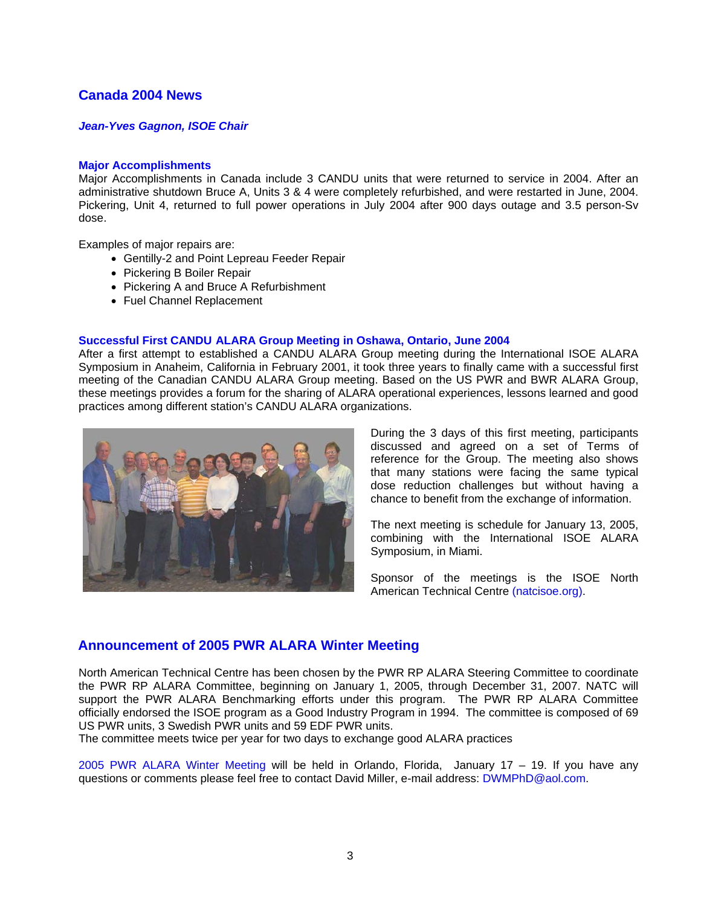# **Canada 2004 News**

## *Jean-Yves Gagnon, ISOE Chair*

## **Major Accomplishments**

Major Accomplishments in Canada include 3 CANDU units that were returned to service in 2004. After an administrative shutdown Bruce A, Units 3 & 4 were completely refurbished, and were restarted in June, 2004. Pickering, Unit 4, returned to full power operations in July 2004 after 900 days outage and 3.5 person-Sv dose.

Examples of major repairs are:

- Gentilly-2 and Point Lepreau Feeder Repair
- Pickering B Boiler Repair
- Pickering A and Bruce A Refurbishment
- Fuel Channel Replacement

## **Successful First CANDU ALARA Group Meeting in Oshawa, Ontario, June 2004**

After a first attempt to established a CANDU ALARA Group meeting during the International ISOE ALARA Symposium in Anaheim, California in February 2001, it took three years to finally came with a successful first meeting of the Canadian CANDU ALARA Group meeting. Based on the US PWR and BWR ALARA Group, these meetings provides a forum for the sharing of ALARA operational experiences, lessons learned and good practices among different station's CANDU ALARA organizations.



During the 3 days of this first meeting, participants discussed and agreed on a set of Terms of reference for the Group. The meeting also shows that many stations were facing the same typical dose reduction challenges but without having a chance to benefit from the exchange of information.

The next meeting is schedule for January 13, 2005, combining with the International ISOE ALARA Symposium, in Miami.

Sponsor of the meetings is the ISOE North American Technical Centre (natcisoe.org).

# **Announcement of 2005 PWR ALARA Winter Meeting**

North American Technical Centre has been chosen by the PWR RP ALARA Steering Committee to coordinate the PWR RP ALARA Committee, beginning on January 1, 2005, through December 31, 2007. NATC will support the PWR ALARA Benchmarking efforts under this program. The PWR RP ALARA Committee officially endorsed the ISOE program as a Good Industry Program in 1994. The committee is composed of 69 US PWR units, 3 Swedish PWR units and 59 EDF PWR units.

The committee meets twice per year for two days to exchange good ALARA practices

2005 PWR ALARA Winter Meeting will be held in Orlando, Florida, January 17 – 19. If you have any questions or comments please feel free to contact David Miller, e-mail address: DWMPhD@aol.com.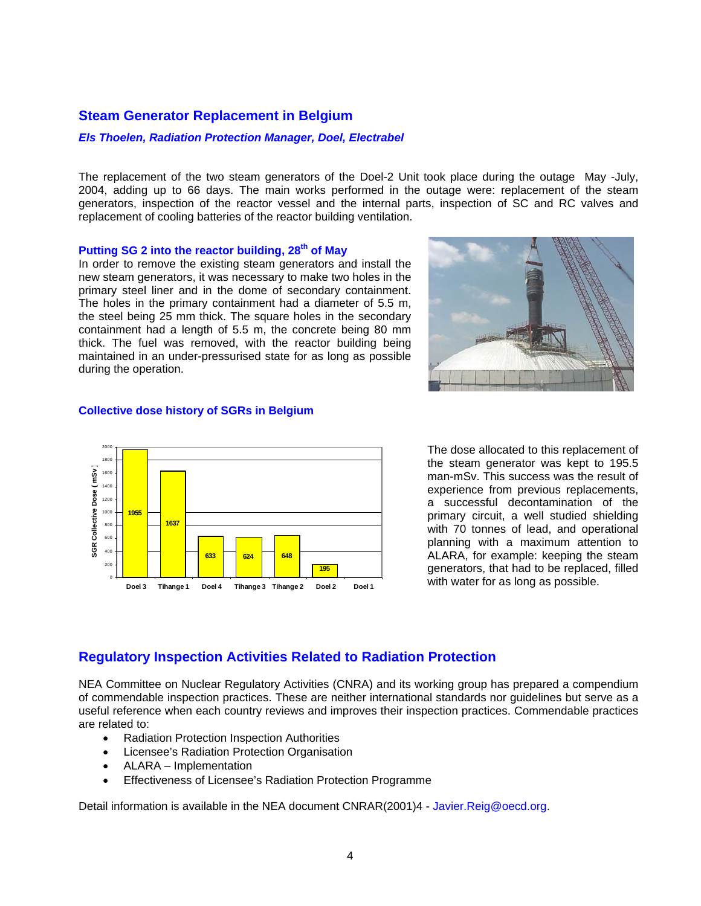## **Steam Generator Replacement in Belgium**

## *Els Thoelen, Radiation Protection Manager, Doel, Electrabel*

The replacement of the two steam generators of the Doel-2 Unit took place during the outage May -July, 2004, adding up to 66 days. The main works performed in the outage were: replacement of the steam generators, inspection of the reactor vessel and the internal parts, inspection of SC and RC valves and replacement of cooling batteries of the reactor building ventilation.

#### **Putting SG 2 into the reactor building, 28th of May**

In order to remove the existing steam generators and install the new steam generators, it was necessary to make two holes in the primary steel liner and in the dome of secondary containment. The holes in the primary containment had a diameter of 5.5 m, the steel being 25 mm thick. The square holes in the secondary containment had a length of 5.5 m, the concrete being 80 mm thick. The fuel was removed, with the reactor building being maintained in an under-pressurised state for as long as possible during the operation.



## **Collective dose history of SGRs in Belgium**



The dose allocated to this replacement of the steam generator was kept to 195.5 man-mSv. This success was the result of experience from previous replacements, a successful decontamination of the primary circuit, a well studied shielding with 70 tonnes of lead, and operational planning with a maximum attention to ALARA, for example: keeping the steam generators, that had to be replaced, filled with water for as long as possible.

# **Regulatory Inspection Activities Related to Radiation Protection**

NEA Committee on Nuclear Regulatory Activities (CNRA) and its working group has prepared a compendium of commendable inspection practices. These are neither international standards nor guidelines but serve as a useful reference when each country reviews and improves their inspection practices. Commendable practices are related to:

- Radiation Protection Inspection Authorities
- Licensee's Radiation Protection Organisation
- ALARA Implementation
- Effectiveness of Licensee's Radiation Protection Programme

Detail information is available in the NEA document CNRAR(2001)4 - Javier.Reig@oecd.org.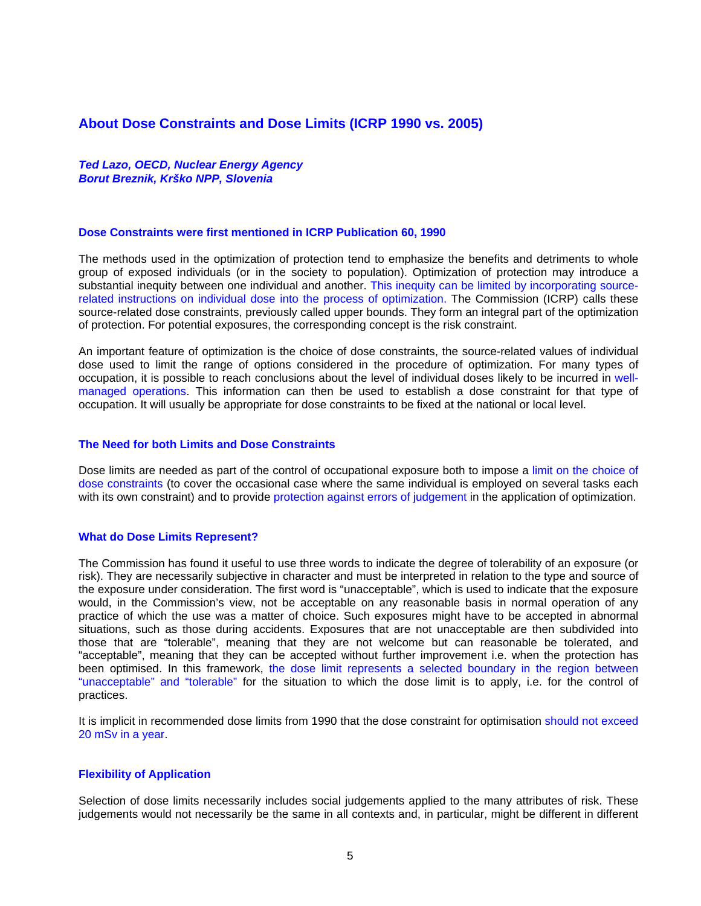# **About Dose Constraints and Dose Limits (ICRP 1990 vs. 2005)**

*Ted Lazo, OECD, Nuclear Energy Agency Borut Breznik, Krško NPP, Slovenia* 

#### **Dose Constraints were first mentioned in ICRP Publication 60, 1990**

The methods used in the optimization of protection tend to emphasize the benefits and detriments to whole group of exposed individuals (or in the society to population). Optimization of protection may introduce a substantial inequity between one individual and another. This inequity can be limited by incorporating sourcerelated instructions on individual dose into the process of optimization. The Commission (ICRP) calls these source-related dose constraints, previously called upper bounds. They form an integral part of the optimization of protection. For potential exposures, the corresponding concept is the risk constraint.

An important feature of optimization is the choice of dose constraints, the source-related values of individual dose used to limit the range of options considered in the procedure of optimization. For many types of occupation, it is possible to reach conclusions about the level of individual doses likely to be incurred in wellmanaged operations. This information can then be used to establish a dose constraint for that type of occupation. It will usually be appropriate for dose constraints to be fixed at the national or local level.

#### **The Need for both Limits and Dose Constraints**

Dose limits are needed as part of the control of occupational exposure both to impose a limit on the choice of dose constraints (to cover the occasional case where the same individual is employed on several tasks each with its own constraint) and to provide protection against errors of judgement in the application of optimization.

#### **What do Dose Limits Represent?**

The Commission has found it useful to use three words to indicate the degree of tolerability of an exposure (or risk). They are necessarily subjective in character and must be interpreted in relation to the type and source of the exposure under consideration. The first word is "unacceptable", which is used to indicate that the exposure would, in the Commission's view, not be acceptable on any reasonable basis in normal operation of any practice of which the use was a matter of choice. Such exposures might have to be accepted in abnormal situations, such as those during accidents. Exposures that are not unacceptable are then subdivided into those that are "tolerable", meaning that they are not welcome but can reasonable be tolerated, and "acceptable", meaning that they can be accepted without further improvement i.e. when the protection has been optimised. In this framework, the dose limit represents a selected boundary in the region between "unacceptable" and "tolerable" for the situation to which the dose limit is to apply, i.e. for the control of practices.

It is implicit in recommended dose limits from 1990 that the dose constraint for optimisation should not exceed 20 mSv in a year.

#### **Flexibility of Application**

Selection of dose limits necessarily includes social judgements applied to the many attributes of risk. These judgements would not necessarily be the same in all contexts and, in particular, might be different in different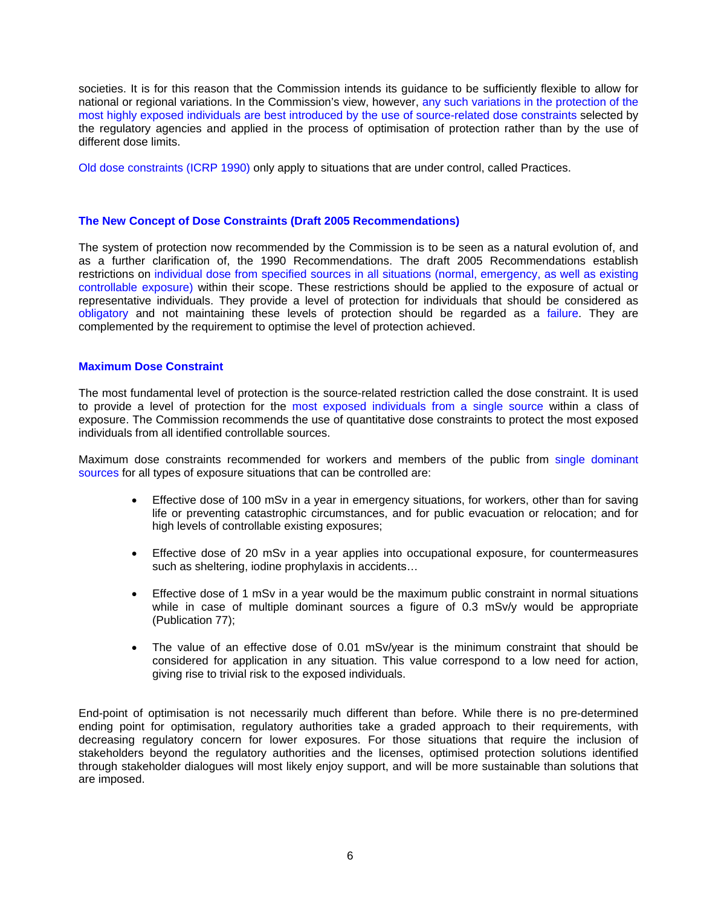societies. It is for this reason that the Commission intends its guidance to be sufficiently flexible to allow for national or regional variations. In the Commission's view, however, any such variations in the protection of the most highly exposed individuals are best introduced by the use of source-related dose constraints selected by the regulatory agencies and applied in the process of optimisation of protection rather than by the use of different dose limits.

Old dose constraints (ICRP 1990) only apply to situations that are under control, called Practices.

## **The New Concept of Dose Constraints (Draft 2005 Recommendations)**

The system of protection now recommended by the Commission is to be seen as a natural evolution of, and as a further clarification of, the 1990 Recommendations. The draft 2005 Recommendations establish restrictions on individual dose from specified sources in all situations (normal, emergency, as well as existing controllable exposure) within their scope. These restrictions should be applied to the exposure of actual or representative individuals. They provide a level of protection for individuals that should be considered as obligatory and not maintaining these levels of protection should be regarded as a failure. They are complemented by the requirement to optimise the level of protection achieved.

## **Maximum Dose Constraint**

The most fundamental level of protection is the source-related restriction called the dose constraint. It is used to provide a level of protection for the most exposed individuals from a single source within a class of exposure. The Commission recommends the use of quantitative dose constraints to protect the most exposed individuals from all identified controllable sources.

Maximum dose constraints recommended for workers and members of the public from single dominant sources for all types of exposure situations that can be controlled are:

- Effective dose of 100 mSv in a year in emergency situations, for workers, other than for saving life or preventing catastrophic circumstances, and for public evacuation or relocation; and for high levels of controllable existing exposures;
- Effective dose of 20 mSv in a year applies into occupational exposure, for countermeasures such as sheltering, iodine prophylaxis in accidents…
- Effective dose of 1 mSv in a year would be the maximum public constraint in normal situations while in case of multiple dominant sources a figure of 0.3 mSv/y would be appropriate (Publication 77);
- The value of an effective dose of 0.01 mSv/year is the minimum constraint that should be considered for application in any situation. This value correspond to a low need for action, giving rise to trivial risk to the exposed individuals.

End-point of optimisation is not necessarily much different than before. While there is no pre-determined ending point for optimisation, regulatory authorities take a graded approach to their requirements, with decreasing regulatory concern for lower exposures. For those situations that require the inclusion of stakeholders beyond the regulatory authorities and the licenses, optimised protection solutions identified through stakeholder dialogues will most likely enjoy support, and will be more sustainable than solutions that are imposed.